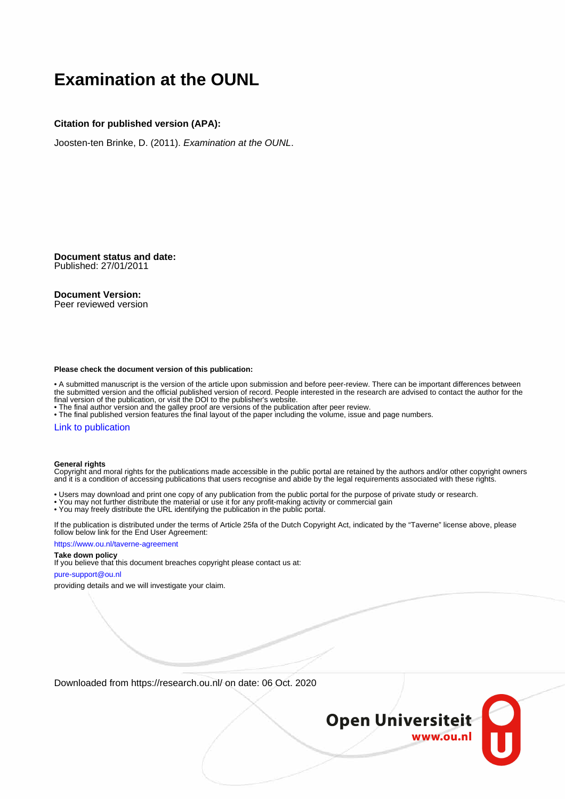# **Examination at the OUNL**

## **Citation for published version (APA):**

Joosten-ten Brinke, D. (2011). Examination at the OUNL.

**Document status and date:** Published: 27/01/2011

## **Document Version:**

Peer reviewed version

#### **Please check the document version of this publication:**

• A submitted manuscript is the version of the article upon submission and before peer-review. There can be important differences between the submitted version and the official published version of record. People interested in the research are advised to contact the author for the final version of the publication, or visit the DOI to the publisher's website.

• The final author version and the galley proof are versions of the publication after peer review.

• The final published version features the final layout of the paper including the volume, issue and page numbers.

### [Link to publication](https://research.ou.nl/en/publications/6aceb715-97cf-4f1f-ae56-da7fdd1abbee)

### **General rights**

Copyright and moral rights for the publications made accessible in the public portal are retained by the authors and/or other copyright owners and it is a condition of accessing publications that users recognise and abide by the legal requirements associated with these rights.

- Users may download and print one copy of any publication from the public portal for the purpose of private study or research.
- You may not further distribute the material or use it for any profit-making activity or commercial gain
- You may freely distribute the URL identifying the publication in the public portal.

If the publication is distributed under the terms of Article 25fa of the Dutch Copyright Act, indicated by the "Taverne" license above, please follow below link for the End User Agreement:

#### https://www.ou.nl/taverne-agreement

## **Take down policy**

If you believe that this document breaches copyright please contact us at:

#### pure-support@ou.nl

providing details and we will investigate your claim.

Downloaded from https://research.ou.nl/ on date: 06 Oct. 2020

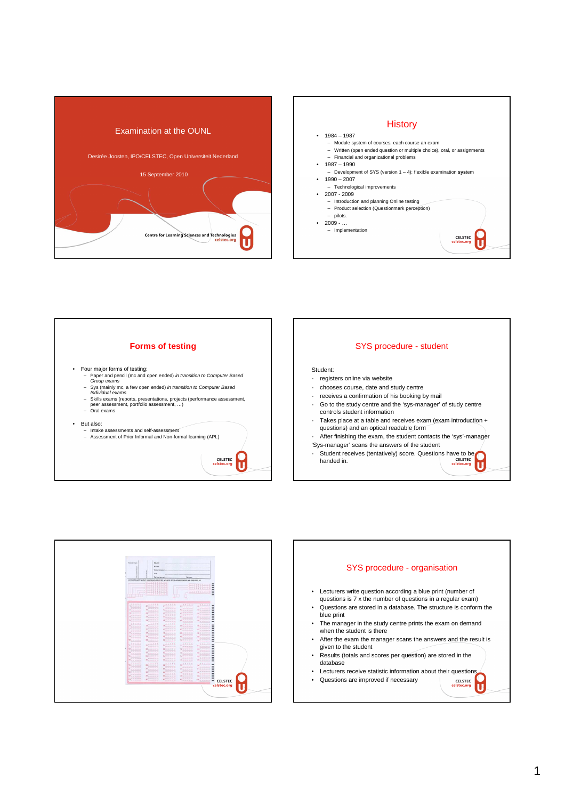







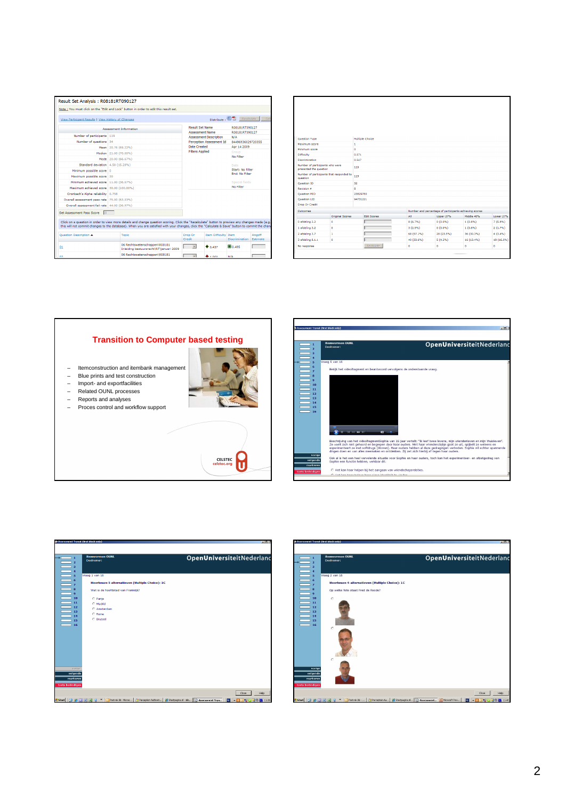| Note: You must click on the "Edit and Lock" button in order to edit this result set.                                                                                                                                                                                                                         |                                                                                                           |                                      |                                               |                    |  |
|--------------------------------------------------------------------------------------------------------------------------------------------------------------------------------------------------------------------------------------------------------------------------------------------------------------|-----------------------------------------------------------------------------------------------------------|--------------------------------------|-----------------------------------------------|--------------------|--|
| View Participant Results   View History of Changes                                                                                                                                                                                                                                                           |                                                                                                           | Distribute: 图 A                      | Recalculate                                   |                    |  |
| <b>Assessment Information</b>                                                                                                                                                                                                                                                                                | <b>Result Set Name</b>                                                                                    |                                      | R08181RT090127                                |                    |  |
|                                                                                                                                                                                                                                                                                                              | <b>Assessment Name</b>                                                                                    |                                      | R08181RT090127                                |                    |  |
|                                                                                                                                                                                                                                                                                                              | <b>Assessment Description</b>                                                                             |                                      | N/A                                           |                    |  |
|                                                                                                                                                                                                                                                                                                              | Perception Assessment Id                                                                                  |                                      |                                               | 84496936029720355  |  |
| Mean 20.76 (69.22%)                                                                                                                                                                                                                                                                                          | <b>Date Created</b><br>Apr 14 2009                                                                        |                                      |                                               |                    |  |
| Median 21.00 (70.00%)                                                                                                                                                                                                                                                                                        | <b>Filters Applied</b>                                                                                    |                                      | No Filter                                     | Group              |  |
| Mode 20.00 (66.67%)                                                                                                                                                                                                                                                                                          |                                                                                                           |                                      |                                               |                    |  |
| Standard deviation 4.58 (15.28%)                                                                                                                                                                                                                                                                             |                                                                                                           |                                      | Date<br>Start: No Filter                      |                    |  |
|                                                                                                                                                                                                                                                                                                              |                                                                                                           |                                      |                                               |                    |  |
|                                                                                                                                                                                                                                                                                                              | <b>End: No Filter</b>                                                                                     |                                      |                                               |                    |  |
| Minimum achieved score 11.00 (36.67%)                                                                                                                                                                                                                                                                        | Special fields                                                                                            |                                      |                                               |                    |  |
| Maximum achieved score 30.00 (100.00%)                                                                                                                                                                                                                                                                       | No Filter                                                                                                 |                                      |                                               |                    |  |
|                                                                                                                                                                                                                                                                                                              |                                                                                                           |                                      |                                               |                    |  |
| Overall assessment pass rate 75.00 (63.03%)                                                                                                                                                                                                                                                                  |                                                                                                           |                                      |                                               |                    |  |
| Overall assessment fail rate 44.00 (36.97%)                                                                                                                                                                                                                                                                  |                                                                                                           |                                      |                                               |                    |  |
|                                                                                                                                                                                                                                                                                                              |                                                                                                           |                                      |                                               |                    |  |
| Click on a question in order to view more details and change question scoring. Click the "Recalculate" button to preview any changes made (e.g.<br>this will not commit changes to the database). When you are satisfied with your changes, click the "Calculate & Save" button to commit the chand<br>Topic | Drep Or<br>Credit                                                                                         | <b>Item Difficulty Item</b><br>0.437 | <b>Discrimination</b><br>$\blacksquare$ 0.495 | Angoff<br>Estimate |  |
|                                                                                                                                                                                                                                                                                                              |                                                                                                           |                                      |                                               |                    |  |
|                                                                                                                                                                                                                                                                                                              | 06 Rechtswetenschappen\R08181<br>Inleiding bestuursrecht\RT\januari 2009<br>06 Rechtswetenschannen\R08181 |                                      | .                                             | 1.111              |  |

| Question Type                                                    |                                                 | Multiple Choice    |            |                                                        |            |            |
|------------------------------------------------------------------|-------------------------------------------------|--------------------|------------|--------------------------------------------------------|------------|------------|
| Maximum score                                                    |                                                 | $\mathbf{1}$       |            |                                                        |            |            |
| Minimum score                                                    |                                                 | $\alpha$           |            |                                                        |            |            |
| Difficulty                                                       |                                                 | 0.571              |            |                                                        |            |            |
| Discrimination                                                   |                                                 | 0.547              |            |                                                        |            |            |
| Number of participants who were<br>119<br>presented the question |                                                 |                    |            |                                                        |            |            |
| question                                                         | Number of participants that responded to<br>119 |                    |            |                                                        |            |            |
| <b>Ouestion ID</b><br>32                                         |                                                 |                    |            |                                                        |            |            |
| Revision #<br>å                                                  |                                                 |                    |            |                                                        |            |            |
| <b>Question MID</b>                                              |                                                 | 23829780           |            |                                                        |            |            |
| <b>Ouestion LID</b>                                              |                                                 | 94731221           |            |                                                        |            |            |
| Drop Or Credit                                                   |                                                 |                    |            |                                                        |            |            |
| Outcomes                                                         |                                                 |                    |            | Number and percentage of participants achieving scores |            |            |
|                                                                  | Original Scores                                 | <b>Edit Scores</b> | All        | <b>Upper 27%</b>                                       | Middle 46% | Lower 27%  |
| 0 afdeling 2.2                                                   | $\bullet$                                       |                    | 8(6.7%)    | 0(0.0%                                                 | 1(0.8%)    | 7(5.9%)    |
| 1 afdeling 3.2                                                   | $\bullet$                                       |                    | 3(2.5%)    | 0(0.0%                                                 | 1(0.8%)    | 2(1.7%)    |
| 2 afdeling 3.7                                                   | 1                                               |                    | 68 (57.1%) | 28 (23.5%)                                             | 36 (30.3%) | 4(3.4%)    |
| 3 afdeling 8.1.1                                                 | $\circ$                                         |                    | 40 (33.6%) | 5(4.2%)                                                | 16 (13.4%) | 19 (16.0%) |
|                                                                  | Recalculate<br>No response                      |                    | ۰          | ۰                                                      | ۰          | ۰          |